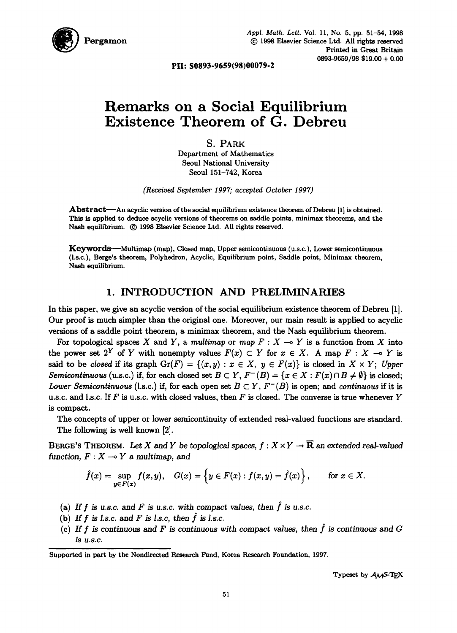

**PII: S0893-9659(98)00079-2** 

# **Remarks on a Social Equilibrium Existence Theorem of G. Debreu**

S. PARK Department of Mathematics Seoul National University Seoul 151-742, Korea

*(Receired September 1997; accepted October 1997)* 

Abstract--An acyclic version of the social equilibrium existence theorem of Debreu [I] is obtained. This is applied to deduce acyclic versions of theorems on saddle points, minimax theorems, and the Nash equilibrium.  $\odot$  1998 Elsevier Science Ltd. All rights reserved.

Keywords--Multimap (map), Closed map, Upper semicontinuous (u.s.c.), Lower semicontinuous (l.s.c.), Berge's theorem, Polyhedron, Acyclic, Equilibrium point, Saddle point, Minimax theorem, Nash equilibrium.

## **1.** INTRODUCTION AND PRELIMINARIES

In this paper, we give an acyclic version of the social equilibrium existence theorem of Debreu [1]. Our proof is much simpler than the original one. Moreover, our main result is applied to acyclic versions of a saddle point theorem, a minimax theorem, and the Nash equilibrium theorem.

For topological spaces X and Y, a *multimap* or  $map F : X \multimap Y$  is a function from X into the power set 2<sup>Y</sup> of Y with nonempty values  $F(x) \subset Y$  for  $x \in X$ . A map  $F : X \to Y$  is said to be *closed* if its graph  $Gr(F) = \{(x, y) : x \in X, y \in F(x)\}\$ is closed in  $X \times Y$ ; *Upper Semicontinuous* (u.s.c.) if, for each closed set  $B \subset Y$ ,  $F^{-}(B) = \{x \in X : F(x) \cap B \neq \emptyset\}$  is closed; *Lower Semicontinuous* (l.s.c.) if, for each open set  $B \subset Y$ ,  $F^{-}(B)$  is open; and *continuous* if it is u.s.c. and l.s.c. If F is u.s.c. with closed values, then F is closed. The converse is true whenever Y is compact.

The concepts of upper or lower semicontinuity of extended real-valued functions are standard. The following is well known [2].

BERGE'S THEOREM. Let X and Y be topological spaces,  $f: X \times Y \to \overline{\mathbb{R}}$  an extended real-valued function,  $F: X \longrightarrow Y$  a multimap, and

$$
\hat{f}(x)=\sup_{y\in F(x)}f(x,y),\quad G(x)=\left\{y\in F(x):f(x,y)=\hat{f}(x)\right\},\qquad\text{for }x\in X.
$$

- (a) If  $f$  is u.s.c. and  $F$  is u.s.c. with compact values, then  $\hat{f}$  is u.s.c.
- (b) If  $f$  is *l.s.c.* and  $F$  is *l.s.c, then*  $\hat{f}$  is *l.s.c.*
- (c) If  $f$  is continuous and  $F$  is continuous with compact values, then  $\hat{f}$  is continuous and  $G$ *is u.s.c.*

Supported in part by the Nondirected Research Fund, Korea Research Foundation, 1997.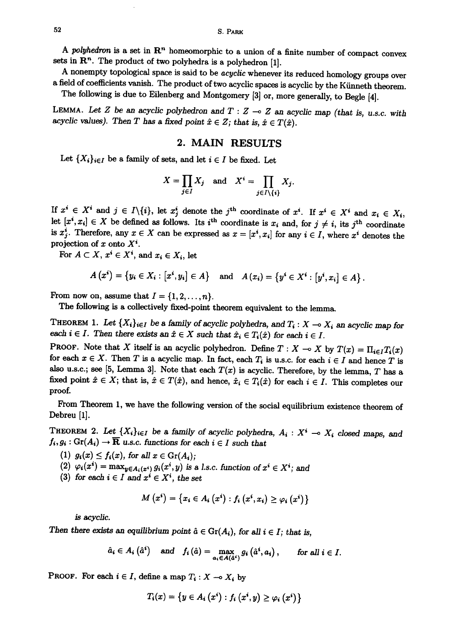*A polyhedron* is a set in R" homeomorphic to a union of a finite number of compact convex sets in  $\mathbb{R}^n$ . The product of two polyhedra is a polyhedron [1].

A nonempty topological space is said to be *acyclic* whenever its reduced homology groups over a field of coefficients vanish. The product of two acyclic spaces is acyclic by the Künneth theorem. The following is due to Eilenberg and Montgomery [3] or, more generally, to Begle [4].

LEMMA. Let Z be an acyclic polyhedron and  $T : Z \rightarrow Z$  an acyclic map (that is, u.s.c. with *acyclic values). Then T has a fixed point*  $\hat{x} \in Z$ ; that is,  $\hat{x} \in T(\hat{x})$ .

### **2. MAIN RESULTS**

Let  $\{X_i\}_{i\in I}$  be a family of sets, and let  $i \in I$  be fixed. Let

$$
X = \prod_{j \in I} X_j \quad \text{and} \quad X^i = \prod_{j \in I \setminus \{i\}} X_j.
$$

If  $x^i \in X^i$  and  $j \in I\backslash\{i\}$ , let  $x_j^i$  denote the j<sup>th</sup> coordinate of  $x^i$ . If  $x^i \in X^i$  and  $x_i \in X_i$ , let  $[x^i, x_i] \in X$  be defined as follows. Its i<sup>th</sup> coordinate is  $x_i$  and, for  $j \neq i$ , its j<sup>th</sup> coordinate is  $x_i^i$ . Therefore, any  $x \in X$  can be expressed as  $x = [x^i, x_i]$  for any  $i \in I$ , where  $x^i$  denotes the projection of x onto  $X^i$ .

For  $A \subset X$ ,  $x^i \in X^i$ , and  $x_i \in X_i$ , let

$$
A(x^i) = \{y_i \in X_i : [x^i, y_i] \in A\} \text{ and } A(x_i) = \{y^i \in X^i : [y^i, x_i] \in A\}.
$$

From now on, assume that  $I = \{1, 2, \ldots, n\}.$ 

The following is a collectively fixed-point theorem equivalent to the lemma.

THEOREM 1. Let  $\{X_i\}_{i\in I}$  be a family of acyclic polyhedra, and  $T_i: X \to X_i$  an acyclic map for *each i*  $\in$  *I. Then there exists an*  $\hat{x} \in X$  *such that*  $\hat{x}_i \in T_i(\hat{x})$  for each  $i \in I$ .

**PROOF.** Note that X itself is an acyclic polyhedron. Define  $T : X \to X$  by  $T(x) = \prod_{i \in I} T_i(x)$ for each  $x \in X$ . Then T is a acyclic map. In fact, each  $T_i$  is u.s.c. for each  $i \in I$  and hence T is also u.s.c.; see [5, Lemma 3]. Note that each  $T(x)$  is acyclic. Therefore, by the lemma, T has a fixed point  $\hat{x} \in X$ ; that is,  $\hat{x} \in T(\hat{x})$ , and hence,  $\hat{x}_i \in T_i(\hat{x})$  for each  $i \in I$ . This completes our proof.

From Theorem 1, we have the following version of the social equilibrium existence theorem of Debreu [1].

THEOREM 2. Let  $\{X_i\}_{i\in I}$  be a family of acyclic polyhedra,  $A_i : X^i \to X_i$  closed maps, and  $f_i, g_i : \text{Gr}(A_i) \to \overline{\mathbf{R}}$  u.s.c. *functions for each*  $i \in I$  *such that* 

- (1)  $g_i(x) \leq f_i(x)$ , for all  $x \in \text{Gr}(A_i)$ ;
- (2)  $\varphi_i(x^i) = \max_{y \in A_i(x^i)} g_i(x^i, y)$  is a l.s.c. function of  $x^i \in X^i$ ; and
- (3) for each  $i \in I$  and  $x^i \in X^i$ , the set

$$
M(x^{i}) = \{x_{i} \in A_{i}(x^{i}) : f_{i}(x^{i}, x_{i}) \geq \varphi_{i}(x^{i})\}
$$

*is acyclic.* 

Then there exists an equilibrium point  $\hat{a} \in \text{Gr}(A_i)$ , for all  $i \in I$ ; that is,

$$
\hat{a}_i \in A_i \left( \hat{a}^i \right)
$$
 and  $f_i \left( \hat{a} \right) = \max_{a_i \in A(\hat{a}^i)} g_i \left( \hat{a}^i, a_i \right)$ , for all  $i \in I$ .

PROOF. For each  $i \in I$ , define a map  $T_i : X \multimap X_i$  by

$$
T_i(x) = \left\{y \in A_i\left(x^i\right) : f_i\left(x^i, y\right) \geq \varphi_i\left(x^i\right)\right\}
$$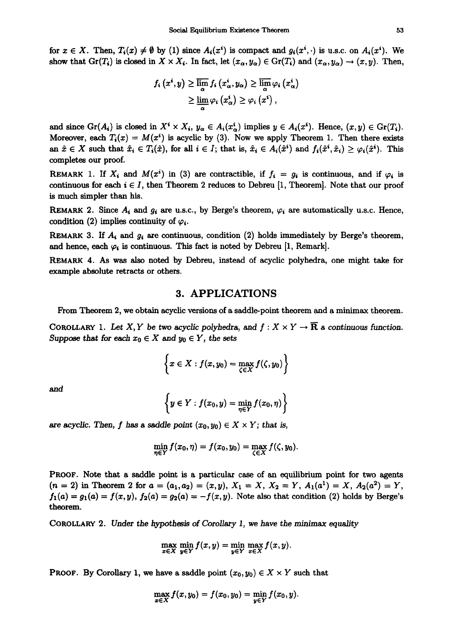for  $x \in X$ . Then,  $T_i(x) \neq \emptyset$  by (1) since  $A_i(x^i)$  is compact and  $g_i(x^i, \cdot)$  is u.s.c. on  $A_i(x^i)$ . We show that  $Gr(T_i)$  is closed in  $X \times X_i$ . In fact, let  $(x_\alpha, y_\alpha) \in Gr(T_i)$  and  $(x_\alpha, y_\alpha) \to (x, y)$ . Then,

$$
f_{i}\left(x^{i}, y\right) \geq \overline{\lim_{\alpha}} f_{i}\left(x^{i}_{\alpha}, y_{\alpha}\right) \geq \overline{\lim_{\alpha}} \varphi_{i}\left(x^{i}_{\alpha}\right) \geq \underline{\lim_{\alpha}} \varphi_{i}\left(x^{i}_{\alpha}\right) \geq \varphi_{i}\left(x^{i}\right),
$$

and since  $Gr(A_i)$  is closed in  $X^i \times X_i$ ,  $y_\alpha \in A_i(x_\alpha^i)$  implies  $y \in A_i(x^i)$ . Hence,  $(x, y) \in Gr(T_i)$ . Moreover, each  $T_i(x) = M(x^i)$  is acyclic by (3). Now we apply Theorem 1. Then there exists an  $\hat{x} \in X$  such that  $\hat{x}_i \in T_i(\hat{x})$ , for all  $i \in I$ ; that is,  $\hat{x}_i \in A_i(\hat{x}^i)$  and  $f_i(\hat{x}^i, \hat{x}_i) \geq \varphi_i(\hat{x}^i)$ . This completes our proof.

REMARK 1. If  $X_i$  and  $M(x^i)$  in (3) are contractible, if  $f_i = g_i$  is continuous, and if  $\varphi_i$  is continuous for each  $i \in I$ , then Theorem 2 reduces to Debreu [1, Theorem]. Note that our proof is much simpler than his.

REMARK 2. Since  $A_i$  and  $g_i$  are u.s.c., by Berge's theorem,  $\varphi_i$  are automatically u.s.c. Hence, condition (2) implies continuity of  $\varphi_i$ .

REMARK 3. If  $A_i$  and  $g_i$  are continuous, condition (2) holds immediately by Berge's theorem, and hence, each  $\varphi_i$  is continuous. This fact is noted by Debreu [1, Remark].

REMARK 4. As was also noted by Debreu, instead of acyclic polyhedra, one might take for example absolute retracts or others.

#### **3.** APPLICATIONS

From Theorem 2, we obtain acyclic versions of a saddle-point theorem and a minimax theorem.

COROLLARY 1. Let X, Y be two acyclic polyhedra, and  $f: X \times Y \to \overline{\mathbb{R}}$  a continuous function. Suppose that for each  $x_0 \in X$  and  $y_0 \in Y$ , the sets

$$
\left\{x\in X:f(x,y_0)=\max_{\zeta\in X}f(\zeta,y_0)\right\}
$$

**and** 

$$
\left\{y\in Y: f(x_0,y)=\min_{\eta\in Y}f(x_0,\eta)\right\}
$$

are acyclic. Then, f has a saddle point  $(x_0, y_0) \in X \times Y$ ; that is,

$$
\min_{\eta\in Y}f(x_0,\eta)=f(x_0,y_0)=\max_{\zeta\in X}f(\zeta,y_0).
$$

PROOF. Note that a saddle point is a particular case of an equilibrium point for two agents  $(n = 2)$  in Theorem 2 for  $a = (a_1, a_2) = (x, y), X_1 = X, X_2 = Y, A_1(a^1) = X, A_2(a^2) = Y,$  $f_1(a) = g_1(a) = f(x, y)$ ,  $f_2(a) = g_2(a) = -f(x, y)$ . Note also that condition (2) holds by Berge's theorem.

COROLLARY 2. Under the hypothesis of Corollary 1, we have the minimax equality

$$
\max_{x \in X} \min_{y \in Y} f(x, y) = \min_{y \in Y} \max_{x \in X} f(x, y).
$$

**PROOF.** By Corollary 1, we have a saddle point  $(x_0, y_0) \in X \times Y$  such that

$$
\max_{x \in X} f(x, y_0) = f(x_0, y_0) = \min_{y \in Y} f(x_0, y).
$$